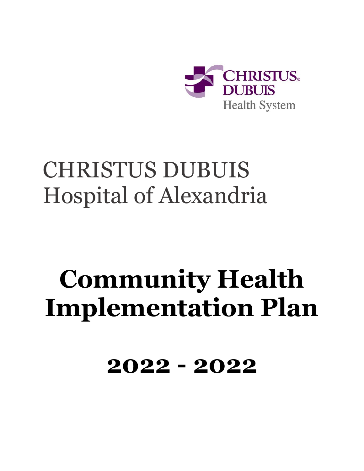

## CHRISTUS DUBUIS Hospital of Alexandria

# **Community Health Implementation Plan**

**2022 - 2022**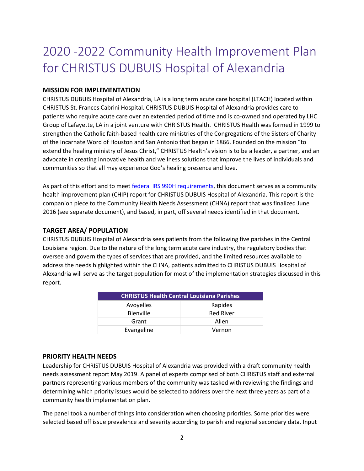### 2020 -2022 Community Health Improvement Plan for CHRISTUS DUBUIS Hospital of Alexandria

#### **MISSION FOR IMPLEMENTATION**

CHRISTUS DUBUIS Hospital of Alexandria, LA is a long term acute care hospital (LTACH) located within CHRISTUS St. Frances Cabrini Hospital. CHRISTUS DUBUIS Hospital of Alexandria provides care to patients who require acute care over an extended period of time and is co-owned and operated by LHC Group of Lafayette, LA in a joint venture with CHRISTUS Health. CHRISTUS Health was formed in 1999 to strengthen the Catholic faith-based health care ministries of the Congregations of the Sisters of Charity of the Incarnate Word of Houston and San Antonio that began in 1866. Founded on the mission "to extend the healing ministry of Jesus Christ," CHRISTUS Health's vision is to be a leader, a partner, and an advocate in creating innovative health and wellness solutions that improve the lives of individuals and communities so that all may experience God's healing presence and love.

As part of this effort and to meet [federal IRS 990H requirements,](https://www.irs.gov/uac/About-Schedule-H-Form-990) this document serves as a community health improvement plan (CHIP) report for CHRISTUS DUBUIS Hospital of Alexandria. This report is the companion piece to the Community Health Needs Assessment (CHNA) report that was finalized June 2016 (see separate document), and based, in part, off several needs identified in that document.

#### **TARGET AREA/ POPULATION**

CHRISTUS DUBUIS Hospital of Alexandria sees patients from the following five parishes in the Central Louisiana region. Due to the nature of the long term acute care industry, the regulatory bodies that oversee and govern the types of services that are provided, and the limited resources available to address the needs highlighted within the CHNA, patients admitted to CHRISTUS DUBUIS Hospital of Alexandria will serve as the target population for most of the implementation strategies discussed in this report.

| <b>CHRISTUS Health Central Louisiana Parishes</b> |                  |  |
|---------------------------------------------------|------------------|--|
| Avoyelles                                         | Rapides          |  |
| Bienville                                         | <b>Red River</b> |  |
| Grant                                             | Allen            |  |
| Evangeline                                        | Vernon           |  |

#### **PRIORITY HEALTH NEEDS**

Leadership for CHRISTUS DUBUIS Hospital of Alexandria was provided with a draft community health needs assessment report May 2019. A panel of experts comprised of both CHRISTUS staff and external partners representing various members of the community was tasked with reviewing the findings and determining which priority issues would be selected to address over the next three years as part of a community health implementation plan.

The panel took a number of things into consideration when choosing priorities. Some priorities were selected based off issue prevalence and severity according to parish and regional secondary data. Input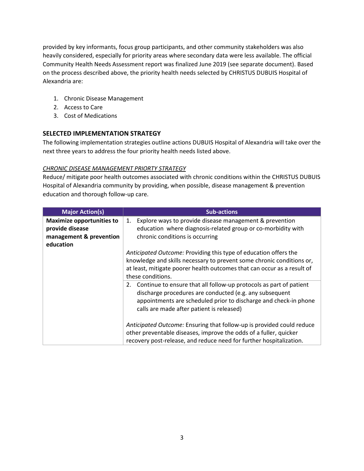provided by key informants, focus group participants, and other community stakeholders was also heavily considered, especially for priority areas where secondary data were less available. The official Community Health Needs Assessment report was finalized June 2019 (see separate document). Based on the process described above, the priority health needs selected by CHRISTUS DUBUIS Hospital of Alexandria are:

- 1. Chronic Disease Management
- 2. Access to Care
- 3. Cost of Medications

#### **SELECTED IMPLEMENTATION STRATEGY**

The following implementation strategies outline actions DUBUIS Hospital of Alexandria will take over the next three years to address the four priority health needs listed above.

#### *CHRONIC DISEASE MANAGEMENT PRIORTY STRATEGY*

Reduce/ mitigate poor health outcomes associated with chronic conditions within the CHRISTUS DUBUIS Hospital of Alexandria community by providing, when possible, disease management & prevention education and thorough follow-up care.

| <b>Major Action(s)</b>                                                                      | <b>Sub-actions</b>                                                                                                                                                                                                                                   |
|---------------------------------------------------------------------------------------------|------------------------------------------------------------------------------------------------------------------------------------------------------------------------------------------------------------------------------------------------------|
| <b>Maximize opportunities to</b><br>provide disease<br>management & prevention<br>education | Explore ways to provide disease management & prevention<br>1.<br>education where diagnosis-related group or co-morbidity with<br>chronic conditions is occurring                                                                                     |
|                                                                                             | Anticipated Outcome: Providing this type of education offers the<br>knowledge and skills necessary to prevent some chronic conditions or,<br>at least, mitigate poorer health outcomes that can occur as a result of<br>these conditions.            |
|                                                                                             | Continue to ensure that all follow-up protocols as part of patient<br>2.<br>discharge procedures are conducted (e.g. any subsequent<br>appointments are scheduled prior to discharge and check-in phone<br>calls are made after patient is released) |
|                                                                                             | Anticipated Outcome: Ensuring that follow-up is provided could reduce<br>other preventable diseases, improve the odds of a fuller, quicker<br>recovery post-release, and reduce need for further hospitalization.                                    |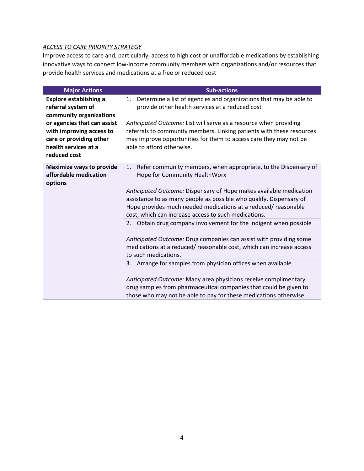#### *ACCESS TO CARE PRIORITY STRATEGY*

Improve access to care and, particularly, access to high cost or unaffordable medications by establishing innovative ways to connect low-income community members with organizations and/or resources that provide health services and medications at a free or reduced cost

| <b>Major Actions</b>                                                                                                                                                                                         | <b>Sub-actions</b>                                                                                                                                                                                                                                                                                                                                                                                                                                                                                                   |
|--------------------------------------------------------------------------------------------------------------------------------------------------------------------------------------------------------------|----------------------------------------------------------------------------------------------------------------------------------------------------------------------------------------------------------------------------------------------------------------------------------------------------------------------------------------------------------------------------------------------------------------------------------------------------------------------------------------------------------------------|
| <b>Explore establishing a</b><br>referral system of<br>community organizations<br>or agencies that can assist<br>with improving access to<br>care or providing other<br>health services at a<br>reduced cost | Determine a list of agencies and organizations that may be able to<br>1.<br>provide other health services at a reduced cost<br>Anticipated Outcome: List will serve as a resource when providing<br>referrals to community members. Linking patients with these resources<br>may improve opportunities for them to access care they may not be<br>able to afford otherwise.                                                                                                                                          |
| <b>Maximize ways to provide</b><br>affordable medication<br>options                                                                                                                                          | Refer community members, when appropriate, to the Dispensary of<br>1.<br>Hope for Community HealthWorx<br>Anticipated Outcome: Dispensary of Hope makes available medication<br>assistance to as many people as possible who qualify. Dispensary of<br>Hope provides much needed medications at a reduced/reasonable<br>cost, which can increase access to such medications.                                                                                                                                         |
|                                                                                                                                                                                                              | 2. Obtain drug company involvement for the indigent when possible<br>Anticipated Outcome: Drug companies can assist with providing some<br>medications at a reduced/ reasonable cost, which can increase access<br>to such medications.<br>3. Arrange for samples from physician offices when available<br>Anticipated Outcome: Many area physicians receive complimentary<br>drug samples from pharmaceutical companies that could be given to<br>those who may not be able to pay for these medications otherwise. |